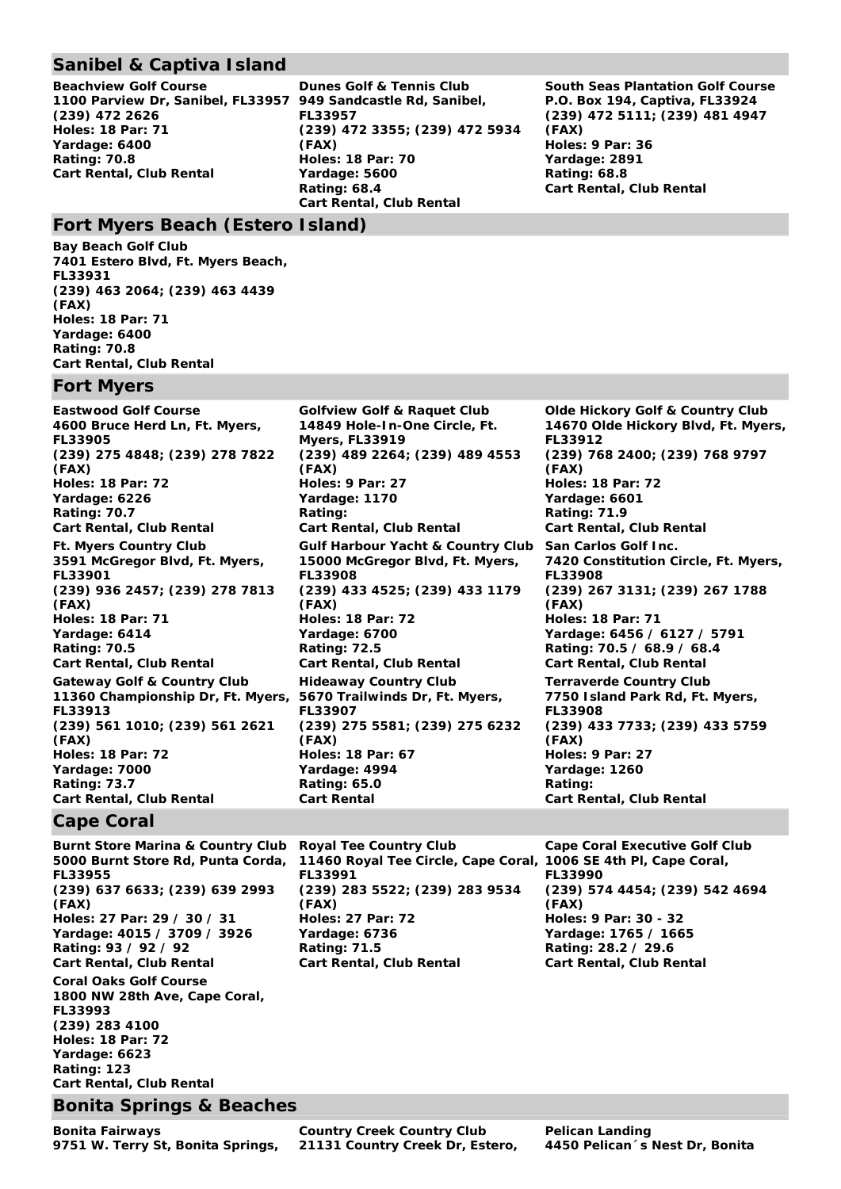## **Sanibel & Captiva Island**

**Beachview Golf Course 1100 Parview Dr, Sanibel, FL33957 949 Sandcastle Rd, Sanibel, (239) 472 2626 Holes: 18 Par: 71 Yardage: 6400 Rating: 70.8 Cart Rental, Club Rental** 

**Dunes Golf & Tennis Club FL33957 (239) 472 3355; (239) 472 5934 (FAX) Holes: 18 Par: 70 Yardage: 5600 Rating: 68.4 Cart Rental, Club Rental**

**South Seas Plantation Golf Course P.O. Box 194, Captiva, FL33924 (239) 472 5111; (239) 481 4947 (FAX) Holes: 9 Par: 36 Yardage: 2891 Rating: 68.8 Cart Rental, Club Rental** 

### **Fort Myers Beach (Estero Island)**

**Bay Beach Golf Club 7401 Estero Blvd, Ft. Myers Beach, FL33931 (239) 463 2064; (239) 463 4439 (FAX) Holes: 18 Par: 71 Yardage: 6400 Rating: 70.8 Cart Rental, Club Rental**

### **Fort Myers**

**Eastwood Golf Course 4600 Bruce Herd Ln, Ft. Myers, FL33905 (239) 275 4848; (239) 278 7822 (FAX) Holes: 18 Par: 72 Yardage: 6226 Rating: 70.7 Cart Rental, Club Rental Ft. Myers Country Club 3591 McGregor Blvd, Ft. Myers, FL33901 (239) 936 2457; (239) 278 7813 (FAX) Holes: 18 Par: 71 Yardage: 6414 Rating: 70.5 Cart Rental, Club Rental Gateway Golf & Country Club 11360 Championship Dr, Ft. Myers, FL33913 (239) 561 1010; (239) 561 2621 (FAX) Holes: 18 Par: 72 Yardage: 7000 Rating: 73.7 Cart Rental, Club Rental** 

**Golfview Golf & Raquet Club 14849 Hole-In-One Circle, Ft. Myers, FL33919 (239) 489 2264; (239) 489 4553 (FAX) Holes: 9 Par: 27 Yardage: 1170 Rating: Cart Rental, Club Rental Olde Hickory Golf & Country Club Gulf Harbour Yacht & Country Club 15000 McGregor Blvd, Ft. Myers, FL33908 (239) 433 4525; (239) 433 1179 (FAX) Holes: 18 Par: 72 Yardage: 6700 Rating: 72.5 Cart Rental, Club Rental Hideaway Country Club 5670 Trailwinds Dr, Ft. Myers, FL33907 (239) 275 5581; (239) 275 6232 (FAX) Holes: 18 Par: 67 Yardage: 4994 Rating: 65.0 Cart Rental Rating: Cart Rental, Club Rental** 

**14670 Olde Hickory Blvd, Ft. Myers, FL33912 (239) 768 2400; (239) 768 9797 (FAX) Holes: 18 Par: 72 Yardage: 6601 Rating: 71.9 Cart Rental, Club Rental San Carlos Golf Inc. 7420 Constitution Circle, Ft. Myers, FL33908 (239) 267 3131; (239) 267 1788 (FAX) Holes: 18 Par: 71 Yardage: 6456 / 6127 / 5791 Rating: 70.5 / 68.9 / 68.4 Cart Rental, Club Rental Terraverde Country Club 7750 Island Park Rd, Ft. Myers, FL33908 (239) 433 7733; (239) 433 5759 (FAX) Holes: 9 Par: 27 Yardage: 1260** 

# **Cape Coral**

**Burnt Store Marina & Country Club 5000 Burnt Store Rd, Punta Corda, FL33955 (239) 637 6633; (239) 639 2993 (FAX) Holes: 27 Par: 29 / 30 / 31 Yardage: 4015 / 3709 / 3926 Rating: 93 / 92 / 92 Cart Rental, Club Rental** 

**Coral Oaks Golf Course 1800 NW 28th Ave, Cape Coral, FL33993 (239) 283 4100 Holes: 18 Par: 72 Yardage: 6623 Rating: 123 Cart Rental, Club Rental** 

### **Bonita Springs & Beaches**

**Bonita Fairways 9751 W. Terry St, Bonita Springs,**  **Royal Tee Country Club 11460 Royal Tee Circle, Cape Coral, 1006 SE 4th Pl, Cape Coral, FL33991 (239) 283 5522; (239) 283 9534 (FAX) Holes: 27 Par: 72 Yardage: 6736 Rating: 71.5 Cart Rental, Club Rental** 

**Cape Coral Executive Golf Club FL33990 (239) 574 4454; (239) 542 4694 (FAX) Holes: 9 Par: 30 - 32 Yardage: 1765 / 1665 Rating: 28.2 / 29.6 Cart Rental, Club Rental**